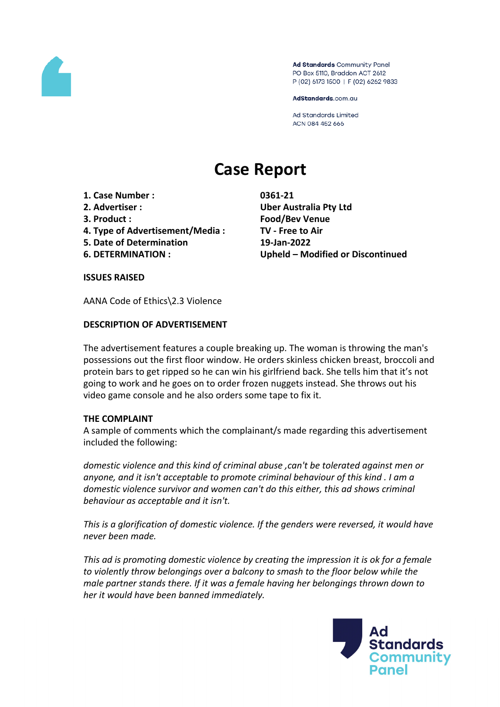

Ad Standards Community Panel PO Box 5110, Braddon ACT 2612 P (02) 6173 1500 | F (02) 6262 9833

AdStandards.com.au

**Ad Standards Limited** ACN 084 452 666

# **Case Report**

- **1. Case Number : 0361-21**
- 
- 
- **4. Type of Advertisement/Media : TV - Free to Air**
- **5. Date of Determination 19-Jan-2022**
- 

**2. Advertiser : Uber Australia Pty Ltd 3. Product : Food/Bev Venue 6. DETERMINATION : Upheld – Modified or Discontinued**

#### **ISSUES RAISED**

AANA Code of Ethics\2.3 Violence

## **DESCRIPTION OF ADVERTISEMENT**

The advertisement features a couple breaking up. The woman is throwing the man's possessions out the first floor window. He orders skinless chicken breast, broccoli and protein bars to get ripped so he can win his girlfriend back. She tells him that it's not going to work and he goes on to order frozen nuggets instead. She throws out his video game console and he also orders some tape to fix it.

### **THE COMPLAINT**

A sample of comments which the complainant/s made regarding this advertisement included the following:

*domestic violence and this kind of criminal abuse ,can't be tolerated against men or anyone, and it isn't acceptable to promote criminal behaviour of this kind . I am a domestic violence survivor and women can't do this either, this ad shows criminal behaviour as acceptable and it isn't.*

*This is a glorification of domestic violence. If the genders were reversed, it would have never been made.*

*This ad is promoting domestic violence by creating the impression it is ok for a female to violently throw belongings over a balcony to smash to the floor below while the male partner stands there. If it was a female having her belongings thrown down to her it would have been banned immediately.*

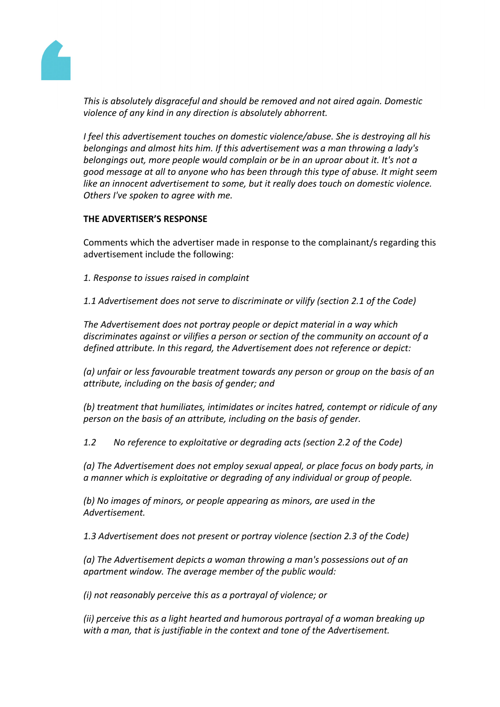

*This is absolutely disgraceful and should be removed and not aired again. Domestic violence of any kind in any direction is absolutely abhorrent.*

*I feel this advertisement touches on domestic violence/abuse. She is destroying all his belongings and almost hits him. If this advertisement was a man throwing a lady's belongings out, more people would complain or be in an uproar about it. It's not a good message at all to anyone who has been through this type of abuse. It might seem like an innocent advertisement to some, but it really does touch on domestic violence. Others I've spoken to agree with me.*

## **THE ADVERTISER'S RESPONSE**

Comments which the advertiser made in response to the complainant/s regarding this advertisement include the following:

- *1. Response to issues raised in complaint*
- *1.1 Advertisement does not serve to discriminate or vilify (section 2.1 of the Code)*

*The Advertisement does not portray people or depict material in a way which discriminates against or vilifies a person or section of the community on account of a defined attribute. In this regard, the Advertisement does not reference or depict:*

*(a) unfair or less favourable treatment towards any person or group on the basis of an attribute, including on the basis of gender; and*

*(b) treatment that humiliates, intimidates or incites hatred, contempt or ridicule of any person on the basis of an attribute, including on the basis of gender.*

*1.2 No reference to exploitative or degrading acts (section 2.2 of the Code)*

*(a) The Advertisement does not employ sexual appeal, or place focus on body parts, in a manner which is exploitative or degrading of any individual or group of people.*

*(b) No images of minors, or people appearing as minors, are used in the Advertisement.*

*1.3 Advertisement does not present or portray violence (section 2.3 of the Code)*

*(a) The Advertisement depicts a woman throwing a man's possessions out of an apartment window. The average member of the public would:*

*(i) not reasonably perceive this as a portrayal of violence; or*

*(ii) perceive this as a light hearted and humorous portrayal of a woman breaking up with a man, that is justifiable in the context and tone of the Advertisement.*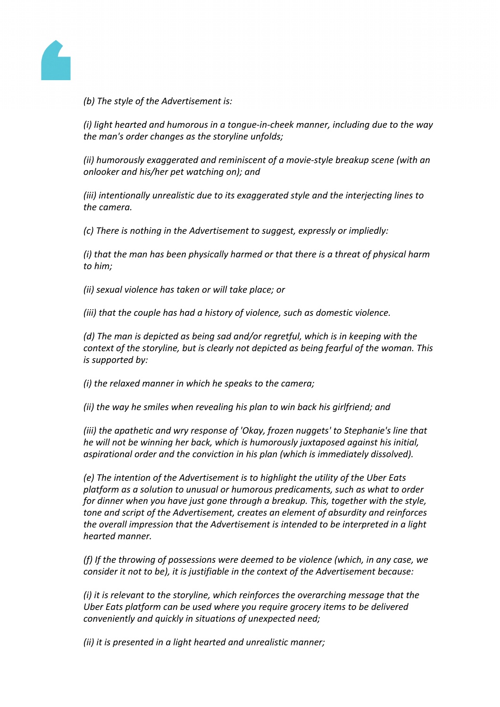

*(b) The style of the Advertisement is:*

*(i) light hearted and humorous in a tongue-in-cheek manner, including due to the way the man's order changes as the storyline unfolds;*

*(ii) humorously exaggerated and reminiscent of a movie-style breakup scene (with an onlooker and his/her pet watching on); and*

*(iii) intentionally unrealistic due to its exaggerated style and the interjecting lines to the camera.*

*(c) There is nothing in the Advertisement to suggest, expressly or impliedly:*

*(i) that the man has been physically harmed or that there is a threat of physical harm to him;*

*(ii) sexual violence has taken or will take place; or*

*(iii) that the couple has had a history of violence, such as domestic violence.*

*(d) The man is depicted as being sad and/or regretful, which is in keeping with the context of the storyline, but is clearly not depicted as being fearful of the woman. This is supported by:*

*(i) the relaxed manner in which he speaks to the camera;*

*(ii) the way he smiles when revealing his plan to win back his girlfriend; and*

*(iii) the apathetic and wry response of 'Okay, frozen nuggets' to Stephanie's line that he will not be winning her back, which is humorously juxtaposed against his initial, aspirational order and the conviction in his plan (which is immediately dissolved).*

*(e) The intention of the Advertisement is to highlight the utility of the Uber Eats platform as a solution to unusual or humorous predicaments, such as what to order for dinner when you have just gone through a breakup. This, together with the style, tone and script of the Advertisement, creates an element of absurdity and reinforces the overall impression that the Advertisement is intended to be interpreted in a light hearted manner.*

*(f) If the throwing of possessions were deemed to be violence (which, in any case, we consider it not to be), it is justifiable in the context of the Advertisement because:*

*(i) it is relevant to the storyline, which reinforces the overarching message that the Uber Eats platform can be used where you require grocery items to be delivered conveniently and quickly in situations of unexpected need;*

*(ii) it is presented in a light hearted and unrealistic manner;*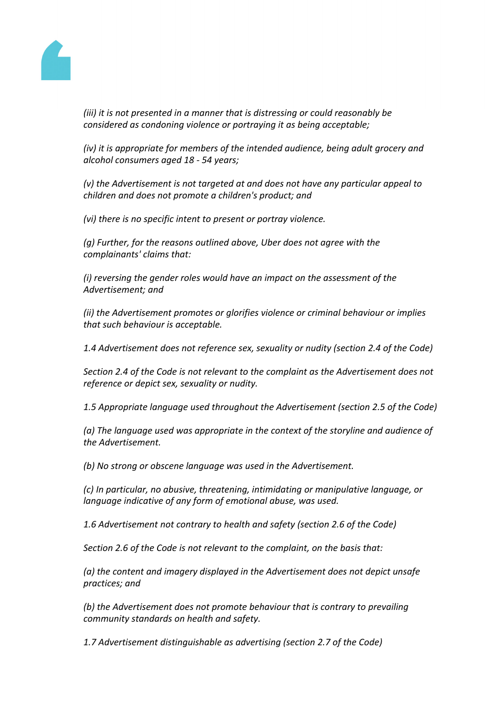

*(iii) it is not presented in a manner that is distressing or could reasonably be considered as condoning violence or portraying it as being acceptable;*

*(iv) it is appropriate for members of the intended audience, being adult grocery and alcohol consumers aged 18 - 54 years;*

*(v) the Advertisement is not targeted at and does not have any particular appeal to children and does not promote a children's product; and*

*(vi) there is no specific intent to present or portray violence.*

*(g) Further, for the reasons outlined above, Uber does not agree with the complainants' claims that:*

*(i) reversing the gender roles would have an impact on the assessment of the Advertisement; and*

*(ii) the Advertisement promotes or glorifies violence or criminal behaviour or implies that such behaviour is acceptable.*

*1.4 Advertisement does not reference sex, sexuality or nudity (section 2.4 of the Code)*

*Section 2.4 of the Code is not relevant to the complaint as the Advertisement does not reference or depict sex, sexuality or nudity.*

*1.5 Appropriate language used throughout the Advertisement (section 2.5 of the Code)*

*(a) The language used was appropriate in the context of the storyline and audience of the Advertisement.*

*(b) No strong or obscene language was used in the Advertisement.*

*(c) In particular, no abusive, threatening, intimidating or manipulative language, or language indicative of any form of emotional abuse, was used.*

*1.6 Advertisement not contrary to health and safety (section 2.6 of the Code)*

*Section 2.6 of the Code is not relevant to the complaint, on the basis that:*

*(a) the content and imagery displayed in the Advertisement does not depict unsafe practices; and*

*(b) the Advertisement does not promote behaviour that is contrary to prevailing community standards on health and safety.*

*1.7 Advertisement distinguishable as advertising (section 2.7 of the Code)*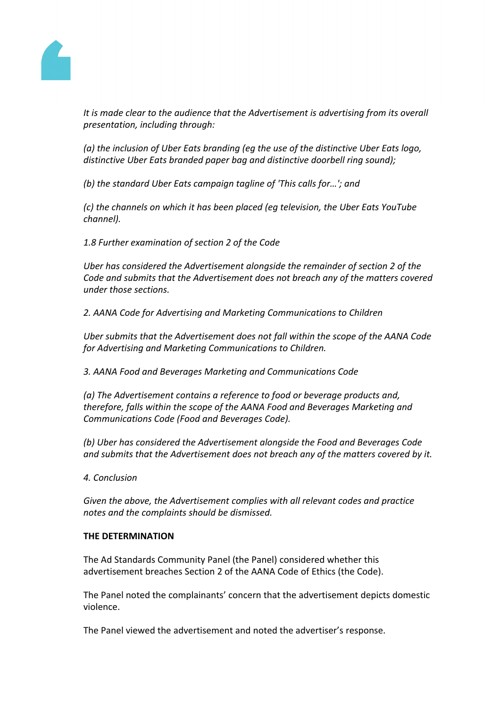

*It is made clear to the audience that the Advertisement is advertising from its overall presentation, including through:*

*(a) the inclusion of Uber Eats branding (eg the use of the distinctive Uber Eats logo, distinctive Uber Eats branded paper bag and distinctive doorbell ring sound);*

*(b) the standard Uber Eats campaign tagline of 'This calls for…'; and*

*(c) the channels on which it has been placed (eg television, the Uber Eats YouTube channel).*

*1.8 Further examination of section 2 of the Code*

*Uber has considered the Advertisement alongside the remainder of section 2 of the Code and submits that the Advertisement does not breach any of the matters covered under those sections.*

*2. AANA Code for Advertising and Marketing Communications to Children*

*Uber submits that the Advertisement does not fall within the scope of the AANA Code for Advertising and Marketing Communications to Children.*

*3. AANA Food and Beverages Marketing and Communications Code*

*(a) The Advertisement contains a reference to food or beverage products and, therefore, falls within the scope of the AANA Food and Beverages Marketing and Communications Code (Food and Beverages Code).*

*(b) Uber has considered the Advertisement alongside the Food and Beverages Code and submits that the Advertisement does not breach any of the matters covered by it.*

*4. Conclusion*

*Given the above, the Advertisement complies with all relevant codes and practice notes and the complaints should be dismissed.*

### **THE DETERMINATION**

The Ad Standards Community Panel (the Panel) considered whether this advertisement breaches Section 2 of the AANA Code of Ethics (the Code).

The Panel noted the complainants' concern that the advertisement depicts domestic violence.

The Panel viewed the advertisement and noted the advertiser's response.